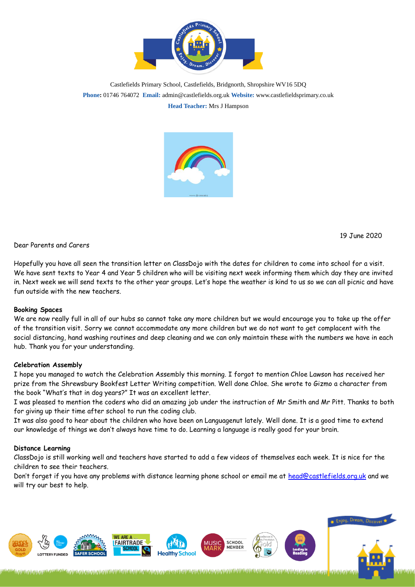

Castlefields Primary School, Castlefields, Bridgnorth, Shropshire WV16 5DQ **Phone:** 01746 764072 **Email:** admin@castlefields.org.uk **Website:** www.castlefieldsprimary.co.uk **Head Teacher:** Mrs J Hampson



19 June 2020

Dear Parents and Carers

Hopefully you have all seen the transition letter on ClassDojo with the dates for children to come into school for a visit. We have sent texts to Year 4 and Year 5 children who will be visiting next week informing them which day they are invited in. Next week we will send texts to the other year groups. Let's hope the weather is kind to us so we can all picnic and have fun outside with the new teachers.

## **Booking Spaces**

We are now really full in all of our hubs so cannot take any more children but we would encourage you to take up the offer of the transition visit. Sorry we cannot accommodate any more children but we do not want to get complacent with the social distancing, hand washing routines and deep cleaning and we can only maintain these with the numbers we have in each hub. Thank you for your understanding.

#### **Celebration Assembly**

I hope you managed to watch the Celebration Assembly this morning. I forgot to mention Chloe Lawson has received her prize from the Shrewsbury Bookfest Letter Writing competition. Well done Chloe. She wrote to Gizmo a character from the book "What's that in dog years?" It was an excellent letter.

I was pleased to mention the coders who did an amazing job under the instruction of Mr Smith and Mr Pitt. Thanks to both for giving up their time after school to run the coding club.

It was also good to hear about the children who have been on Languagenut lately. Well done. It is a good time to extend our knowledge of things we don't always have time to do. Learning a language is really good for your brain.

## **Distance Learning**

ClassDojo is still working well and teachers have started to add a few videos of themselves each week. It is nice for the children to see their teachers.

Don't forget if you have any problems with distance learning phone school or email me at [head@castlefields.org.uk](mailto:head@castlefields.org.uk) and we will try our best to help.

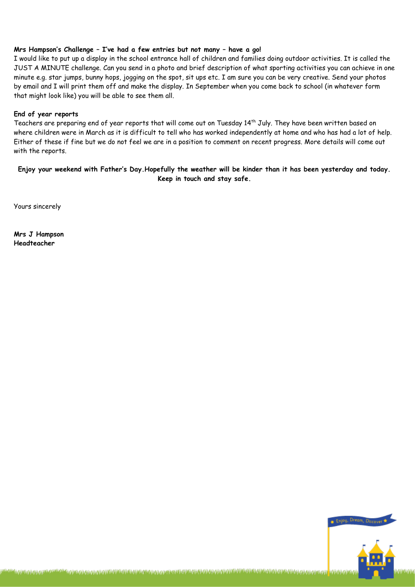# **Mrs Hampson's Challenge – I've had a few entries but not many – have a go!**

I would like to put up a display in the school entrance hall of children and families doing outdoor activities. It is called the JUST A MINUTE challenge. Can you send in a photo and brief description of what sporting activities you can achieve in one minute e.g. star jumps, bunny hops, jogging on the spot, sit ups etc. I am sure you can be very creative. Send your photos by email and I will print them off and make the display. In September when you come back to school (in whatever form that might look like) you will be able to see them all.

#### **End of year reports**

Teachers are preparing end of year reports that will come out on Tuesday 14<sup>th</sup> July. They have been written based on where children were in March as it is difficult to tell who has worked independently at home and who has had a lot of help. Either of these if fine but we do not feel we are in a position to comment on recent progress. More details will come out with the reports.

# **Enjoy your weekend with Father's Day.Hopefully the weather will be kinder than it has been yesterday and today. Keep in touch and stay safe.**

ℷ*ℴ*⅏ℛℷℛ⅌ℐⅈ⅀⅌ℐⅈℼ⅌ℐⅈ⅀⅌ℐ⅌ℐ⅌ℐ⅌℀⅏ⅇℇⅇℒ⅌ℎℒⅉℭ⅌ℐⅈ⅄℆⅀⅌ℐ⅌ℐ⅌ℒ℟ⅉℐⅉ⅀⅌ℳ⅌⅌ℐⅈ⅌

Yours sincerely

**Mrs J Hampson Headteacher**